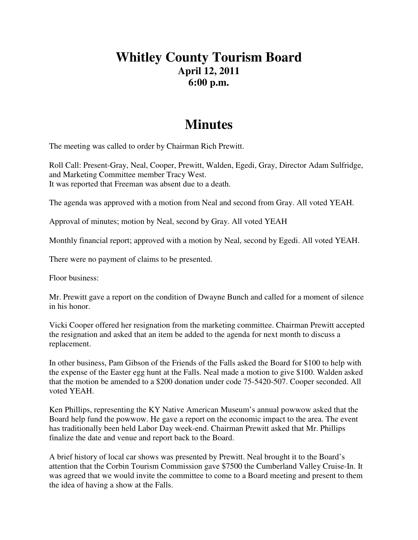## **Whitley County Tourism Board April 12, 2011 6:00 p.m.**

## **Minutes**

The meeting was called to order by Chairman Rich Prewitt.

Roll Call: Present-Gray, Neal, Cooper, Prewitt, Walden, Egedi, Gray, Director Adam Sulfridge, and Marketing Committee member Tracy West. It was reported that Freeman was absent due to a death.

The agenda was approved with a motion from Neal and second from Gray. All voted YEAH.

Approval of minutes; motion by Neal, second by Gray. All voted YEAH

Monthly financial report; approved with a motion by Neal, second by Egedi. All voted YEAH.

There were no payment of claims to be presented.

Floor business:

Mr. Prewitt gave a report on the condition of Dwayne Bunch and called for a moment of silence in his honor.

Vicki Cooper offered her resignation from the marketing committee. Chairman Prewitt accepted the resignation and asked that an item be added to the agenda for next month to discuss a replacement.

In other business, Pam Gibson of the Friends of the Falls asked the Board for \$100 to help with the expense of the Easter egg hunt at the Falls. Neal made a motion to give \$100. Walden asked that the motion be amended to a \$200 donation under code 75-5420-507. Cooper seconded. All voted YEAH.

Ken Phillips, representing the KY Native American Museum's annual powwow asked that the Board help fund the powwow. He gave a report on the economic impact to the area. The event has traditionally been held Labor Day week-end. Chairman Prewitt asked that Mr. Phillips finalize the date and venue and report back to the Board.

A brief history of local car shows was presented by Prewitt. Neal brought it to the Board's attention that the Corbin Tourism Commission gave \$7500 the Cumberland Valley Cruise-In. It was agreed that we would invite the committee to come to a Board meeting and present to them the idea of having a show at the Falls.